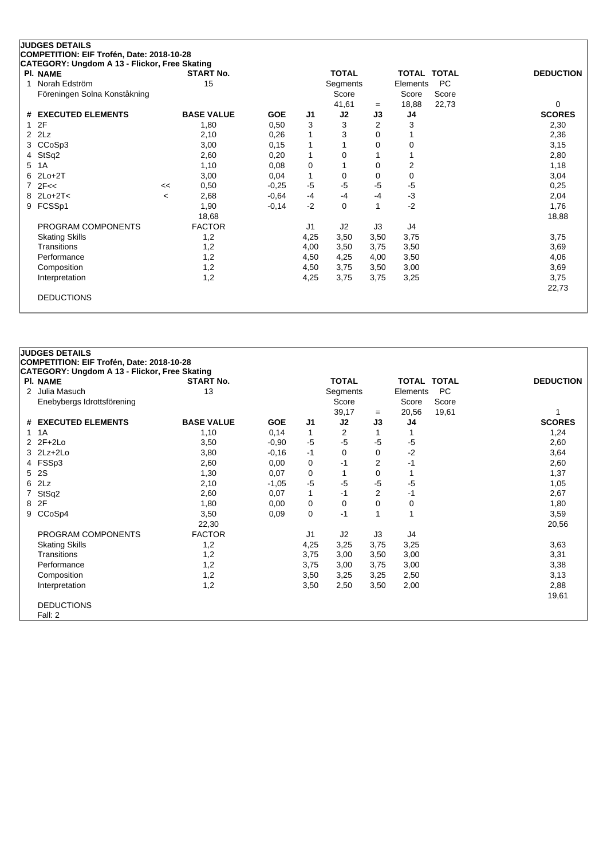| CATEGORY: Ungdom A 13 - Flickor, Free Skating |                          |                   |            |                |              |                |          |                    |                  |
|-----------------------------------------------|--------------------------|-------------------|------------|----------------|--------------|----------------|----------|--------------------|------------------|
| <b>PI. NAME</b>                               |                          | <b>START No.</b>  |            |                | <b>TOTAL</b> |                |          | <b>TOTAL TOTAL</b> | <b>DEDUCTION</b> |
| Norah Edström                                 |                          | 15                |            |                | Segments     |                | Elements | <b>PC</b>          |                  |
| Föreningen Solna Konståkning                  |                          |                   |            |                | Score        |                | Score    | Score              |                  |
|                                               |                          |                   |            |                | 41,61        | $=$            | 18,88    | 22,73              | 0                |
| # EXECUTED ELEMENTS                           |                          | <b>BASE VALUE</b> | <b>GOE</b> | J <sub>1</sub> | J2           | J3             | J4       |                    | <b>SCORES</b>    |
| 12F                                           |                          | 1,80              | 0,50       | 3              | 3            | $\overline{2}$ | 3        |                    | 2,30             |
| $2$ $2Lz$                                     |                          | 2,10              | 0,26       | 1              | 3            | 0              |          |                    | 2,36             |
| 3 CCoSp3                                      |                          | 3,00              | 0,15       | 1              |              | 0              | 0        |                    | 3,15             |
| 4 StSq2                                       |                          | 2,60              | 0,20       | 1              | 0            |                |          |                    | 2,80             |
| 5 1A                                          |                          | 1,10              | 0,08       | 0              |              | 0              | 2        |                    | 1,18             |
| $6$ 2Lo+2T                                    |                          | 3,00              | 0,04       | 1              | 0            | 0              | 0        |                    | 3,04             |
| $7$ $2F <$                                    | <<                       | 0,50              | $-0,25$    | $-5$           | $-5$         | -5             | $-5$     |                    | 0,25             |
| 8 2Lo+2T<                                     | $\overline{\phantom{a}}$ | 2,68              | $-0.64$    | $-4$           | -4           | -4             | $-3$     |                    | 2,04             |
| 9 FCSSp1                                      |                          | 1,90              | $-0,14$    | $-2$           | 0            |                | $-2$     |                    | 1,76             |
|                                               |                          | 18,68             |            |                |              |                |          |                    | 18,88            |
| PROGRAM COMPONENTS                            |                          | <b>FACTOR</b>     |            | J1             | J2           | J3             | J4       |                    |                  |
| <b>Skating Skills</b>                         |                          | 1,2               |            | 4,25           | 3,50         | 3,50           | 3,75     |                    | 3,75             |
| Transitions                                   |                          | 1,2               |            | 4,00           | 3,50         | 3,75           | 3,50     |                    | 3,69             |
| Performance                                   |                          | 1,2               |            | 4,50           | 4,25         | 4,00           | 3,50     |                    | 4,06             |
| Composition                                   |                          | 1,2               |            | 4,50           | 3,75         | 3,50           | 3,00     |                    | 3,69             |
| Interpretation                                |                          | 1,2               |            | 4,25           | 3,75         | 3,75           | 3,25     |                    | 3,75             |
|                                               |                          |                   |            |                |              |                |          |                    | 22,73            |
| <b>DEDUCTIONS</b>                             |                          |                   |            |                |              |                |          |                    |                  |
|                                               |                          |                   |            |                |              |                |          |                    |                  |

| <b>JUDGES DETAILS</b>                 |
|---------------------------------------|
| COMPETITION: EIF Trofén, Date: 2018-1 |
| CATEGORY: Ungdom A 13 - Flickor, Fro  |

| COMPETITION: EIF Trofén, Date: 2018-10-28                        |                   |            |                |              |                |          |             |                  |
|------------------------------------------------------------------|-------------------|------------|----------------|--------------|----------------|----------|-------------|------------------|
| CATEGORY: Ungdom A 13 - Flickor, Free Skating<br><b>PI. NAME</b> | <b>START No.</b>  |            |                | <b>TOTAL</b> |                |          | TOTAL TOTAL | <b>DEDUCTION</b> |
| 2 Julia Masuch                                                   | 13                |            |                | Segments     |                | Elements | PC.         |                  |
| Enebybergs Idrottsförening                                       |                   |            |                | Score        |                | Score    | Score       |                  |
|                                                                  |                   |            |                | 39,17        | $=$            | 20,56    | 19,61       |                  |
| # EXECUTED ELEMENTS                                              | <b>BASE VALUE</b> | <b>GOE</b> | J <sub>1</sub> | J2           | J3             | J4       |             | <b>SCORES</b>    |
| 1 1 A                                                            | 1,10              | 0,14       | 1              | 2            |                |          |             | 1,24             |
| $2$ $2F+2Lo$                                                     | 3,50              | $-0,90$    | $-5$           | $-5$         | -5             | $-5$     |             | 2,60             |
| $3$ $2Lz+2Lo$                                                    | 3,80              | $-0,16$    | $-1$           | 0            | 0              | $-2$     |             | 3,64             |
| 4 FSSp3                                                          | 2,60              | 0,00       | 0              | $-1$         | 2              | $-1$     |             | 2,60             |
| 5 2S                                                             | 1,30              | 0,07       | 0              | 1            | 0              |          |             | 1,37             |
| $6$ $2Lz$                                                        | 2,10              | $-1,05$    | $-5$           | $-5$         | $-5$           | $-5$     |             | 1,05             |
| 7 StSq2                                                          | 2,60              | 0,07       | 1              | $-1$         | $\overline{2}$ | $-1$     |             | 2,67             |
| 8 2F                                                             | 1,80              | 0,00       | 0              | 0            | 0              | 0        |             | 1,80             |
| 9 CCoSp4                                                         | 3,50              | 0,09       | 0              | $-1$         |                | 1        |             | 3,59             |
|                                                                  | 22,30             |            |                |              |                |          |             | 20,56            |
| PROGRAM COMPONENTS                                               | <b>FACTOR</b>     |            | J1             | J2           | J3             | J4       |             |                  |
| <b>Skating Skills</b>                                            | 1,2               |            | 4,25           | 3,25         | 3,75           | 3,25     |             | 3,63             |
| Transitions                                                      | 1,2               |            | 3,75           | 3,00         | 3,50           | 3,00     |             | 3,31             |
| Performance                                                      | 1,2               |            | 3,75           | 3,00         | 3,75           | 3,00     |             | 3,38             |
| Composition                                                      | 1,2               |            | 3,50           | 3,25         | 3,25           | 2,50     |             | 3,13             |
| Interpretation                                                   | 1,2               |            | 3,50           | 2,50         | 3,50           | 2,00     |             | 2,88             |
|                                                                  |                   |            |                |              |                |          |             | 19,61            |
| <b>DEDUCTIONS</b>                                                |                   |            |                |              |                |          |             |                  |
| Fall: 2                                                          |                   |            |                |              |                |          |             |                  |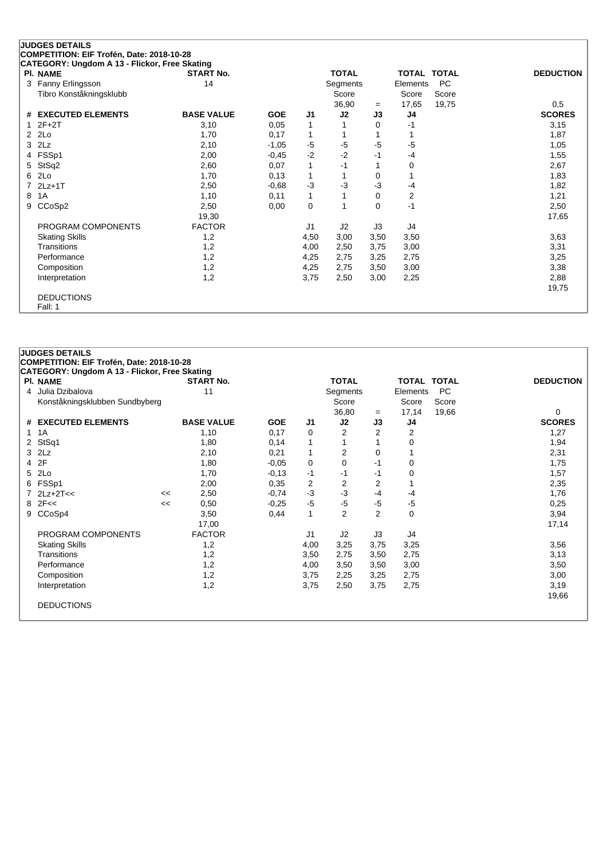| CATEGORY: Ungdom A 13 - Flickor, Free Skating |                   |            |      |              |      |                         |       |                  |
|-----------------------------------------------|-------------------|------------|------|--------------|------|-------------------------|-------|------------------|
| PI. NAME                                      | <b>START No.</b>  |            |      | <b>TOTAL</b> |      | TOTAL TOTAL             |       | <b>DEDUCTION</b> |
| 3 Fanny Erlingsson                            | 14                |            |      | Segments     |      | Elements                | PC    |                  |
| Tibro Konståkningsklubb                       |                   |            |      | Score        |      | Score                   | Score |                  |
|                                               |                   |            |      | 36,90        | $=$  | 17,65                   | 19,75 | 0,5              |
| # EXECUTED ELEMENTS                           | <b>BASE VALUE</b> | <b>GOE</b> | J1   | J2           | J3   | J4                      |       | <b>SCORES</b>    |
| $2F+2T$                                       | 3,10              | 0,05       | 1    |              | 0    | -1                      |       | 3,15             |
| $2$ $2Lo$                                     | 1,70              | 0,17       | 1    | 1            |      |                         |       | 1,87             |
| $3$ $2Lz$                                     | 2,10              | $-1,05$    | $-5$ | $-5$         | $-5$ | $-5$                    |       | 1,05             |
| 4 FSSp1                                       | 2,00              | $-0,45$    | $-2$ | $-2$         | -1   | $-4$                    |       | 1,55             |
| 5 StSq2                                       | 2,60              | 0,07       | 1    | $-1$         |      | 0                       |       | 2,67             |
| 6 2Lo                                         | 1,70              | 0,13       | 1    | 1            | 0    |                         |       | 1,83             |
| 7 2Lz+1T                                      | 2,50              | $-0,68$    | $-3$ | $-3$         | $-3$ | -4                      |       | 1,82             |
| 8 1A                                          | 1,10              | 0,11       | 1    |              | 0    | $\overline{\mathbf{c}}$ |       | 1,21             |
| 9 CCoSp2                                      | 2,50              | 0,00       | 0    | 1            | 0    | $-1$                    |       | 2,50             |
|                                               | 19,30             |            |      |              |      |                         |       | 17,65            |
| PROGRAM COMPONENTS                            | <b>FACTOR</b>     |            | J1   | J2           | J3   | J4                      |       |                  |
| <b>Skating Skills</b>                         | 1,2               |            | 4,50 | 3,00         | 3,50 | 3,50                    |       | 3,63             |
| Transitions                                   | 1,2               |            | 4,00 | 2,50         | 3,75 | 3,00                    |       | 3,31             |
| Performance                                   | 1,2               |            | 4,25 | 2,75         | 3,25 | 2,75                    |       | 3,25             |
| Composition                                   | 1,2               |            | 4,25 | 2,75         | 3,50 | 3,00                    |       | 3,38             |
| Interpretation                                | 1,2               |            | 3,75 | 2,50         | 3,00 | 2,25                    |       | 2,88             |
|                                               |                   |            |      |              |      |                         |       | 19,75            |
| <b>DEDUCTIONS</b>                             |                   |            |      |              |      |                         |       |                  |
| Fall: 1                                       |                   |            |      |              |      |                         |       |                  |

| <b>JUDGES DETAILS</b>                         |    |                   |            |              |                |                |             |           |                  |
|-----------------------------------------------|----|-------------------|------------|--------------|----------------|----------------|-------------|-----------|------------------|
| COMPETITION: EIF Trofén, Date: 2018-10-28     |    |                   |            |              |                |                |             |           |                  |
| CATEGORY: Ungdom A 13 - Flickor, Free Skating |    |                   |            |              |                |                |             |           |                  |
| PI. NAME                                      |    | <b>START No.</b>  |            |              | <b>TOTAL</b>   |                | TOTAL TOTAL |           | <b>DEDUCTION</b> |
| 4 Julia Dzibalova                             |    | 11                |            |              | Segments       |                | Elements    | <b>PC</b> |                  |
| Konståkningsklubben Sundbyberg                |    |                   |            |              | Score          |                | Score       | Score     |                  |
|                                               |    |                   |            |              | 36,80          | $=$            | 17,14       | 19,66     | 0                |
| # EXECUTED ELEMENTS                           |    | <b>BASE VALUE</b> | <b>GOE</b> | J1           | J2             | J3             | J4          |           | <b>SCORES</b>    |
| $1 \t1A$                                      |    | 1,10              | 0,17       | 0            | 2              | 2              | 2           |           | 1,27             |
| 2 StSq1                                       |    | 1,80              | 0,14       | 1            | 1              |                | 0           |           | 1,94             |
| $3$ $2Lz$                                     |    | 2,10              | 0,21       | $\mathbf{1}$ | $\overline{2}$ | 0              |             |           | 2,31             |
| 4 2F                                          |    | 1,80              | $-0,05$    | 0            | 0              | $-1$           | 0           |           | 1,75             |
| 5 2Lo                                         |    | 1,70              | $-0,13$    | $-1$         | $-1$           | $-1$           | 0           |           | 1,57             |
| 6 FSSp1                                       |    | 2,00              | 0,35       | 2            | 2              | 2              |             |           | 2,35             |
| $7$ 2Lz+2T<<                                  | << | 2,50              | $-0,74$    | $-3$         | $-3$           | $-4$           | $-4$        |           | 1,76             |
| $8$ 2F<<                                      | << | 0,50              | $-0,25$    | $-5$         | $-5$           | $-5$           | $-5$        |           | 0,25             |
| 9 CCoSp4                                      |    | 3,50              | 0,44       | 1            | $\overline{2}$ | $\overline{2}$ | $\mathbf 0$ |           | 3,94             |
|                                               |    | 17,00             |            |              |                |                |             |           | 17,14            |
| PROGRAM COMPONENTS                            |    | <b>FACTOR</b>     |            | J1           | J2             | J3             | J4          |           |                  |
| <b>Skating Skills</b>                         |    | 1,2               |            | 4,00         | 3,25           | 3,75           | 3,25        |           | 3,56             |
| Transitions                                   |    | 1,2               |            | 3,50         | 2,75           | 3,50           | 2,75        |           | 3,13             |
| Performance                                   |    | 1,2               |            | 4,00         | 3,50           | 3,50           | 3,00        |           | 3,50             |
| Composition                                   |    | 1,2               |            | 3,75         | 2,25           | 3,25           | 2,75        |           | 3,00             |
| Interpretation                                |    | 1,2               |            | 3,75         | 2,50           | 3,75           | 2,75        |           | 3,19             |
|                                               |    |                   |            |              |                |                |             |           | 19,66            |
| <b>DEDUCTIONS</b>                             |    |                   |            |              |                |                |             |           |                  |
|                                               |    |                   |            |              |                |                |             |           |                  |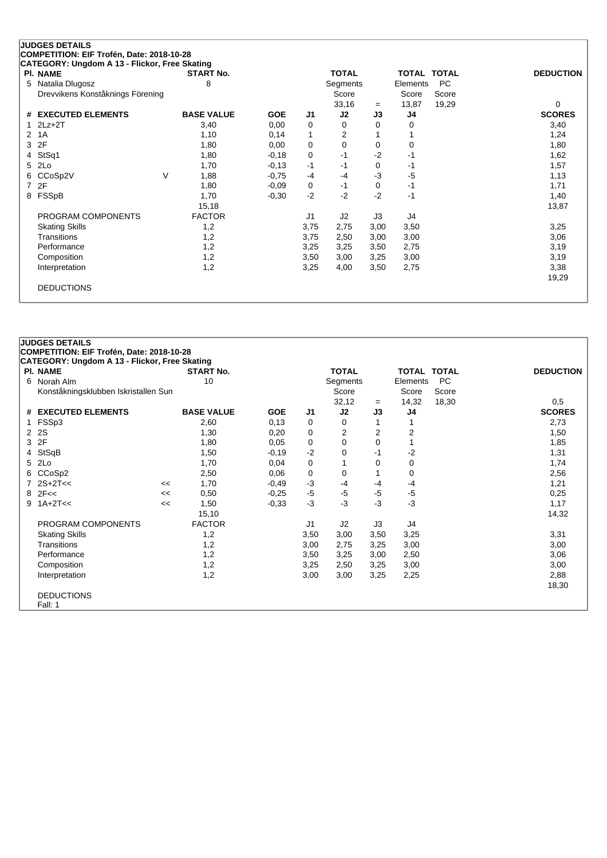| PI. NAME                         | <b>START No.</b>  |            |                | <b>TOTAL</b> |      | <b>TOTAL TOTAL</b> |           | <b>DEDUCTION</b> |
|----------------------------------|-------------------|------------|----------------|--------------|------|--------------------|-----------|------------------|
| Natalia Dlugosz<br>5             | 8                 |            |                | Segments     |      | Elements           | <b>PC</b> |                  |
| Drevvikens Konståknings Förening |                   |            |                | Score        |      | Score              | Score     |                  |
|                                  |                   |            |                | 33,16        | $=$  | 13,87              | 19,29     | $\Omega$         |
| # EXECUTED ELEMENTS              | <b>BASE VALUE</b> | <b>GOE</b> | J <sub>1</sub> | J2           | J3   | J4                 |           | <b>SCORES</b>    |
| $2Lz+2T$                         | 3,40              | 0,00       | 0              | 0            | 0    | 0                  |           | 3,40             |
| 1A<br>$\mathbf{2}^{\circ}$       | 1,10              | 0,14       | 1              | 2            |      |                    |           | 1,24             |
| 2F<br>3                          | 1,80              | 0,00       | 0              | 0            | 0    | 0                  |           | 1,80             |
| StSq1<br>4                       | 1,80              | $-0,18$    | 0              | $-1$         | $-2$ | $-1$               |           | 1,62             |
| 2Lo<br>5                         | 1,70              | $-0,13$    | $-1$           | $-1$         | 0    | -1                 |           | 1,57             |
| CCoSp2V<br>6                     | V<br>1,88         | $-0,75$    | $-4$           | $-4$         | -3   | $-5$               |           | 1,13             |
| 2F<br>7                          | 1,80              | $-0,09$    | 0              | $-1$         | 0    | -1                 |           | 1,71             |
| FSSpB<br>8                       | 1,70              | $-0.30$    | $-2$           | $-2$         | $-2$ | $-1$               |           | 1,40             |
|                                  | 15,18             |            |                |              |      |                    |           | 13,87            |
| PROGRAM COMPONENTS               | <b>FACTOR</b>     |            | J <sub>1</sub> | J2           | J3   | J4                 |           |                  |
| <b>Skating Skills</b>            | 1,2               |            | 3,75           | 2,75         | 3,00 | 3,50               |           | 3,25             |
| Transitions                      | 1,2               |            | 3,75           | 2,50         | 3,00 | 3,00               |           | 3,06             |
| Performance                      | 1,2               |            | 3,25           | 3,25         | 3,50 | 2,75               |           | 3,19             |
| Composition                      | 1,2               |            | 3,50           | 3,00         | 3,25 | 3,00               |           | 3,19             |
| Interpretation                   | 1,2               |            | 3,25           | 4,00         | 3,50 | 2,75               |           | 3,38             |
|                                  |                   |            |                |              |      |                    |           | 19,29            |

|   | <b>JUDGES DETAILS</b>                                                                      |    |                   |            |      |                |                |                    |           |                  |
|---|--------------------------------------------------------------------------------------------|----|-------------------|------------|------|----------------|----------------|--------------------|-----------|------------------|
|   | COMPETITION: EIF Trofén, Date: 2018-10-28<br>CATEGORY: Ungdom A 13 - Flickor, Free Skating |    |                   |            |      |                |                |                    |           |                  |
|   | PI. NAME                                                                                   |    | <b>START No.</b>  |            |      | <b>TOTAL</b>   |                | <b>TOTAL TOTAL</b> |           | <b>DEDUCTION</b> |
| 6 | Norah Alm                                                                                  |    | 10                |            |      | Segments       |                | Elements           | <b>PC</b> |                  |
|   | Konståkningsklubben Iskristallen Sun                                                       |    |                   |            |      | Score          |                | Score              | Score     |                  |
|   |                                                                                            |    |                   |            |      | 32,12          | $=$            | 14,32              | 18,30     | 0,5              |
|   | # EXECUTED ELEMENTS                                                                        |    | <b>BASE VALUE</b> | <b>GOE</b> | J1   | J2             | J3             | J4                 |           | <b>SCORES</b>    |
|   | FSSp3                                                                                      |    | 2,60              | 0,13       | 0    | 0              |                |                    |           | 2,73             |
| 2 | 2S                                                                                         |    | 1,30              | 0,20       | 0    | $\overline{2}$ | $\overline{2}$ | $\overline{2}$     |           | 1,50             |
| 3 | 2F                                                                                         |    | 1,80              | 0,05       | 0    | $\Omega$       | $\Omega$       |                    |           | 1,85             |
| 4 | StSqB                                                                                      |    | 1,50              | $-0,19$    | $-2$ | 0              | -1             | $-2$               |           | 1,31             |
| 5 | 2Lo                                                                                        |    | 1,70              | 0,04       | 0    |                | 0              | 0                  |           | 1,74             |
| 6 | CCoSp2                                                                                     |    | 2,50              | 0,06       | 0    | 0              |                | $\mathbf 0$        |           | 2,56             |
|   | $2S+2T<<$                                                                                  | << | 1,70              | $-0.49$    | $-3$ | $-4$           | $-4$           | $-4$               |           | 1,21             |
| 8 | 2F <                                                                                       | << | 0,50              | $-0.25$    | $-5$ | $-5$           | $-5$           | $-5$               |           | 0,25             |
| 9 | $1A+2T<<$                                                                                  | << | 1,50              | $-0,33$    | -3   | $-3$           | $-3$           | $-3$               |           | 1,17             |
|   |                                                                                            |    | 15,10             |            |      |                |                |                    |           | 14,32            |
|   | PROGRAM COMPONENTS                                                                         |    | <b>FACTOR</b>     |            | J1   | J2             | J3             | J4                 |           |                  |
|   | <b>Skating Skills</b>                                                                      |    | 1,2               |            | 3,50 | 3,00           | 3,50           | 3,25               |           | 3,31             |
|   | Transitions                                                                                |    | 1,2               |            | 3,00 | 2,75           | 3,25           | 3,00               |           | 3,00             |
|   | Performance                                                                                |    | 1,2               |            | 3,50 | 3,25           | 3,00           | 2,50               |           | 3,06             |
|   | Composition                                                                                |    | 1,2               |            | 3,25 | 2,50           | 3,25           | 3,00               |           | 3,00             |
|   | Interpretation                                                                             |    | 1,2               |            | 3,00 | 3,00           | 3,25           | 2,25               |           | 2,88             |
|   |                                                                                            |    |                   |            |      |                |                |                    |           | 18,30            |
|   | <b>DEDUCTIONS</b>                                                                          |    |                   |            |      |                |                |                    |           |                  |
|   | Fall: 1                                                                                    |    |                   |            |      |                |                |                    |           |                  |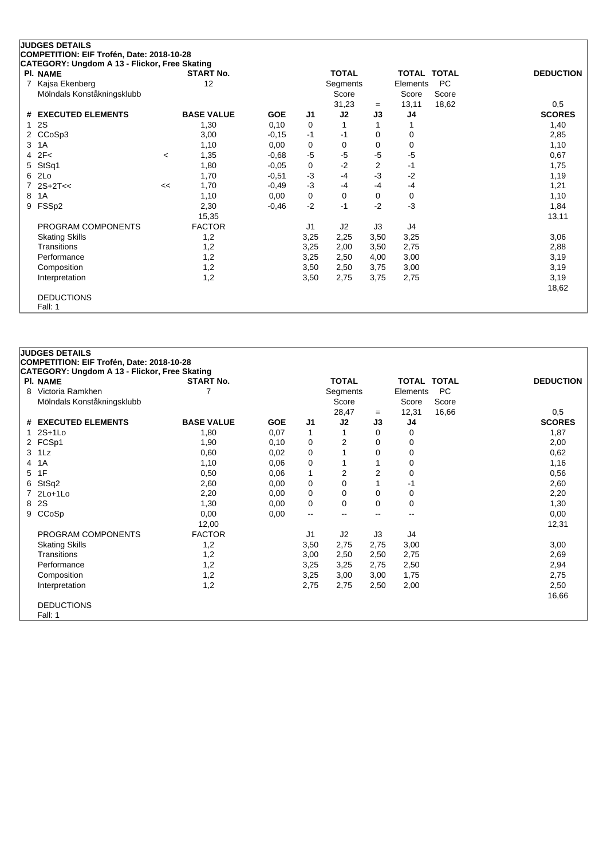| CATEGORY: Ungdom A 13 - Flickor, Free Skating |                          |                   |            |      |              |                |             |       |                  |
|-----------------------------------------------|--------------------------|-------------------|------------|------|--------------|----------------|-------------|-------|------------------|
| PI. NAME                                      |                          | <b>START No.</b>  |            |      | <b>TOTAL</b> |                | TOTAL TOTAL |       | <b>DEDUCTION</b> |
| Kajsa Ekenberg                                |                          | 12                |            |      | Segments     |                | Elements    | PC    |                  |
| Mölndals Konståkningsklubb                    |                          |                   |            |      | Score        |                | Score       | Score |                  |
|                                               |                          |                   |            |      | 31,23        | $=$            | 13,11       | 18,62 | 0,5              |
| # EXECUTED ELEMENTS                           |                          | <b>BASE VALUE</b> | <b>GOE</b> | J1   | J2           | J3             | J4          |       | <b>SCORES</b>    |
| <b>2S</b>                                     |                          | 1,30              | 0,10       | 0    | 1            |                |             |       | 1,40             |
| 2 CCoSp3                                      |                          | 3,00              | $-0,15$    | $-1$ | $-1$         | 0              | 0           |       | 2,85             |
| 3 1A                                          |                          | 1,10              | 0,00       | 0    | 0            | 0              | 0           |       | 1,10             |
| $4$ $2F<$                                     | $\overline{\phantom{a}}$ | 1,35              | $-0,68$    | -5   | $-5$         | $-5$           | $-5$        |       | 0,67             |
| 5 StSq1                                       |                          | 1,80              | $-0,05$    | 0    | $-2$         | $\overline{2}$ | $-1$        |       | 1,75             |
| 6 2Lo                                         |                          | 1,70              | $-0,51$    | -3   | $-4$         | $-3$           | $-2$        |       | 1,19             |
| $7.2S+2T<<$                                   | <<                       | 1,70              | $-0,49$    | $-3$ | $-4$         | $-4$           | $-4$        |       | 1,21             |
| 8 1A                                          |                          | 1,10              | 0,00       | 0    | 0            | 0              | 0           |       | 1,10             |
| 9 FSSp2                                       |                          | 2,30              | $-0,46$    | $-2$ | $-1$         | $-2$           | $-3$        |       | 1,84             |
|                                               |                          | 15,35             |            |      |              |                |             |       | 13,11            |
| PROGRAM COMPONENTS                            |                          | <b>FACTOR</b>     |            | J1   | J2           | J3             | J4          |       |                  |
| <b>Skating Skills</b>                         |                          | 1,2               |            | 3,25 | 2,25         | 3,50           | 3,25        |       | 3,06             |
| Transitions                                   |                          | 1,2               |            | 3,25 | 2,00         | 3,50           | 2,75        |       | 2,88             |
| Performance                                   |                          | 1,2               |            | 3,25 | 2,50         | 4,00           | 3,00        |       | 3,19             |
| Composition                                   |                          | 1,2               |            | 3,50 | 2,50         | 3,75           | 3,00        |       | 3,19             |
| Interpretation                                |                          | 1,2               |            | 3,50 | 2,75         | 3,75           | 2,75        |       | 3,19             |
|                                               |                          |                   |            |      |              |                |             |       | 18,62            |
| <b>DEDUCTIONS</b>                             |                          |                   |            |      |              |                |             |       |                  |
| Fall: 1                                       |                          |                   |            |      |              |                |             |       |                  |

|   | <b>JUDGES DETAILS</b><br>COMPETITION: EIF Trofén, Date: 2018-10-28 |                   |            |                |                   |                |                    |       |                  |
|---|--------------------------------------------------------------------|-------------------|------------|----------------|-------------------|----------------|--------------------|-------|------------------|
|   | CATEGORY: Ungdom A 13 - Flickor, Free Skating                      |                   |            |                |                   |                |                    |       |                  |
|   | PI. NAME                                                           | <b>START No.</b>  |            |                | <b>TOTAL</b>      |                | <b>TOTAL TOTAL</b> |       | <b>DEDUCTION</b> |
|   | 8 Victoria Ramkhen                                                 | 7                 |            |                | Segments          |                | Elements           | PC    |                  |
|   | Mölndals Konståkningsklubb                                         |                   |            |                | Score             |                | Score              | Score |                  |
|   |                                                                    |                   |            |                | 28,47             | $=$            | 12,31              | 16,66 | 0,5              |
|   | # EXECUTED ELEMENTS                                                | <b>BASE VALUE</b> | <b>GOE</b> | J <sub>1</sub> | J2                | J3             | J4                 |       | <b>SCORES</b>    |
|   | 1 2S+1Lo                                                           | 1,80              | 0,07       | 1              |                   | 0              | 0                  |       | 1,87             |
|   | 2 FCSp1                                                            | 1,90              | 0,10       | 0              | $\overline{2}$    | 0              | $\Omega$           |       | 2,00             |
|   | 3 1Lz                                                              | 0,60              | 0,02       | 0              | 1                 | 0              | 0                  |       | 0,62             |
| 4 | 1A                                                                 | 1,10              | 0,06       | 0              | 1                 |                | 0                  |       | 1,16             |
| 5 | 1F                                                                 | 0,50              | 0,06       | $\mathbf{1}$   | 2                 | $\overline{2}$ | 0                  |       | 0,56             |
|   | 6 StSq2                                                            | 2,60              | 0,00       | 0              | 0                 |                | -1                 |       | 2,60             |
|   | 7 2Lo+1Lo                                                          | 2,20              | 0,00       | 0              | 0                 | 0              | 0                  |       | 2,20             |
| 8 | <b>2S</b>                                                          | 1,30              | 0,00       | 0              | 0                 | 0              | 0                  |       | 1,30             |
|   | 9 CCoSp                                                            | 0,00              | 0,00       | --             | $\hspace{0.05cm}$ | --             | --                 |       | 0,00             |
|   |                                                                    | 12,00             |            |                |                   |                |                    |       | 12,31            |
|   | PROGRAM COMPONENTS                                                 | <b>FACTOR</b>     |            | J <sub>1</sub> | J2                | J3             | J4                 |       |                  |
|   | <b>Skating Skills</b>                                              | 1,2               |            | 3,50           | 2,75              | 2,75           | 3,00               |       | 3,00             |
|   | Transitions                                                        | 1,2               |            | 3,00           | 2,50              | 2,50           | 2,75               |       | 2,69             |
|   | Performance                                                        | 1,2               |            | 3,25           | 3,25              | 2,75           | 2,50               |       | 2,94             |
|   | Composition                                                        | 1,2               |            | 3,25           | 3,00              | 3,00           | 1,75               |       | 2,75             |
|   | Interpretation                                                     | 1,2               |            | 2,75           | 2,75              | 2,50           | 2,00               |       | 2,50             |
|   |                                                                    |                   |            |                |                   |                |                    |       | 16,66            |
|   | <b>DEDUCTIONS</b><br>Fall: 1                                       |                   |            |                |                   |                |                    |       |                  |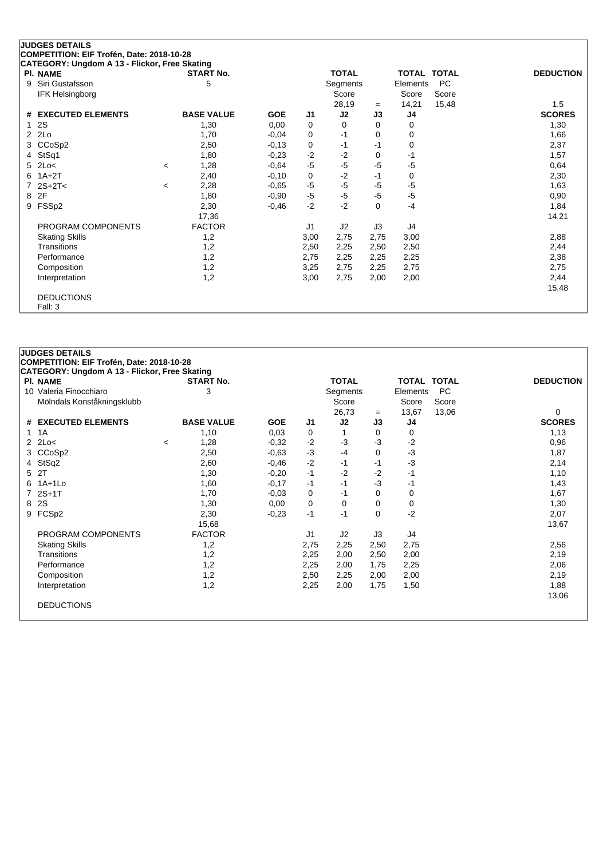| CATEGORY: Ungdom A 13 - Flickor, Free Skating |         |                   |            |                |              |             |          |             |                  |
|-----------------------------------------------|---------|-------------------|------------|----------------|--------------|-------------|----------|-------------|------------------|
| PI. NAME                                      |         | <b>START No.</b>  |            |                | <b>TOTAL</b> |             |          | TOTAL TOTAL | <b>DEDUCTION</b> |
| 9 Siri Gustafsson                             |         | 5                 |            |                | Segments     |             | Elements | PC          |                  |
| <b>IFK Helsingborg</b>                        |         |                   |            |                | Score        |             | Score    | Score       |                  |
|                                               |         |                   |            |                | 28,19        | $=$         | 14,21    | 15,48       | 1,5              |
| # EXECUTED ELEMENTS                           |         | <b>BASE VALUE</b> | <b>GOE</b> | J1             | J2           | J3          | J4       |             | <b>SCORES</b>    |
| 12S                                           |         | 1,30              | 0,00       | 0              | 0            | 0           | 0        |             | 1,30             |
| $2$ $2Lo$                                     |         | 1,70              | $-0.04$    | 0              | $-1$         | 0           | 0        |             | 1,66             |
| 3 CCoSp2                                      |         | 2,50              | $-0,13$    | 0              | $-1$         | -1          | 0        |             | 2,37             |
| 4 StSq1                                       |         | 1,80              | $-0.23$    | $-2$           | $-2$         | 0           | -1       |             | 1,57             |
| $5$ 2Lo<                                      | $\,<\,$ | 1,28              | $-0,64$    | $-5$           | $-5$         | $-5$        | $-5$     |             | 0,64             |
| $6$ 1A+2T                                     |         | 2,40              | $-0,10$    | 0              | $-2$         | -1          | 0        |             | 2,30             |
| 7 $2S+2T<$                                    | $\,<\,$ | 2,28              | $-0,65$    | $-5$           | $-5$         | $-5$        | $-5$     |             | 1,63             |
| 8 2F                                          |         | 1,80              | $-0,90$    | $-5$           | $-5$         | $-5$        | $-5$     |             | 0,90             |
| 9 FSSp2                                       |         | 2,30              | $-0,46$    | $-2$           | $-2$         | $\mathbf 0$ | $-4$     |             | 1,84             |
|                                               |         | 17,36             |            |                |              |             |          |             | 14,21            |
| PROGRAM COMPONENTS                            |         | <b>FACTOR</b>     |            | J <sub>1</sub> | J2           | J3          | J4       |             |                  |
| <b>Skating Skills</b>                         |         | 1,2               |            | 3,00           | 2,75         | 2,75        | 3,00     |             | 2,88             |
| Transitions                                   |         | 1,2               |            | 2,50           | 2,25         | 2,50        | 2,50     |             | 2,44             |
| Performance                                   |         | 1,2               |            | 2,75           | 2,25         | 2,25        | 2,25     |             | 2,38             |
| Composition                                   |         | 1,2               |            | 3,25           | 2,75         | 2,25        | 2,75     |             | 2,75             |
| Interpretation                                |         | 1,2               |            | 3,00           | 2,75         | 2,00        | 2,00     |             | 2,44             |
|                                               |         |                   |            |                |              |             |          |             | 15,48            |
| <b>DEDUCTIONS</b>                             |         |                   |            |                |              |             |          |             |                  |
| Fall: 3                                       |         |                   |            |                |              |             |          |             |                  |

| <b>JUDGES DETAILS</b>                                            |                   |            |      |              |          |                    |       |                  |
|------------------------------------------------------------------|-------------------|------------|------|--------------|----------|--------------------|-------|------------------|
| COMPETITION: EIF Trofén, Date: 2018-10-28                        |                   |            |      |              |          |                    |       |                  |
| CATEGORY: Ungdom A 13 - Flickor, Free Skating<br><b>PI. NAME</b> | <b>START No.</b>  |            |      | <b>TOTAL</b> |          | <b>TOTAL TOTAL</b> |       | <b>DEDUCTION</b> |
| 10 Valeria Finocchiaro                                           | 3                 |            |      | Segments     |          | Elements           | PC    |                  |
| Mölndals Konståkningsklubb                                       |                   |            |      | Score        |          | Score              | Score |                  |
|                                                                  |                   |            |      | 26,73        | $=$      | 13,67              | 13,06 | $\Omega$         |
| # EXECUTED ELEMENTS                                              | <b>BASE VALUE</b> | <b>GOE</b> | J1   | J2           | J3       | J4                 |       | <b>SCORES</b>    |
| 1 1 A                                                            | 1,10              | 0,03       | 0    | 1            | 0        | 0                  |       | 1,13             |
| $2$ $2$ $Lo<$                                                    | 1,28<br>$\prec$   | $-0,32$    | $-2$ | $-3$         | $-3$     | $-2$               |       | 0,96             |
| 3 CCoSp2                                                         | 2,50              | $-0,63$    | $-3$ | $-4$         | 0        | $-3$               |       | 1,87             |
| 4 StSq2                                                          | 2,60              | $-0,46$    | $-2$ | $-1$         | $-1$     | $-3$               |       | 2,14             |
| 5 2T                                                             | 1,30              | $-0,20$    | $-1$ | $-2$         | $-2$     | -1                 |       | 1,10             |
| 6 1A+1Lo                                                         | 1,60              | $-0,17$    | $-1$ | $-1$         | $-3$     | -1                 |       | 1,43             |
| 7 2S+1T                                                          | 1,70              | $-0,03$    | 0    | $-1$         | $\Omega$ | 0                  |       | 1,67             |
| 8 2S                                                             | 1,30              | 0,00       | 0    | 0            | 0        | 0                  |       | 1,30             |
| 9 FCSp2                                                          | 2,30              | $-0.23$    | $-1$ | $-1$         | 0        | $-2$               |       | 2,07             |
|                                                                  | 15,68             |            |      |              |          |                    |       | 13,67            |
| PROGRAM COMPONENTS                                               | <b>FACTOR</b>     |            | J1   | J2           | J3       | J4                 |       |                  |
| <b>Skating Skills</b>                                            | 1,2               |            | 2,75 | 2,25         | 2,50     | 2,75               |       | 2,56             |
| Transitions                                                      | 1,2               |            | 2,25 | 2,00         | 2,50     | 2,00               |       | 2,19             |
| Performance                                                      | 1,2               |            | 2,25 | 2,00         | 1,75     | 2,25               |       | 2,06             |
| Composition                                                      | 1,2               |            | 2,50 | 2,25         | 2,00     | 2,00               |       | 2,19             |
| Interpretation                                                   | 1,2               |            | 2,25 | 2,00         | 1,75     | 1,50               |       | 1,88             |
|                                                                  |                   |            |      |              |          |                    |       | 13,06            |
| <b>DEDUCTIONS</b>                                                |                   |            |      |              |          |                    |       |                  |
|                                                                  |                   |            |      |              |          |                    |       |                  |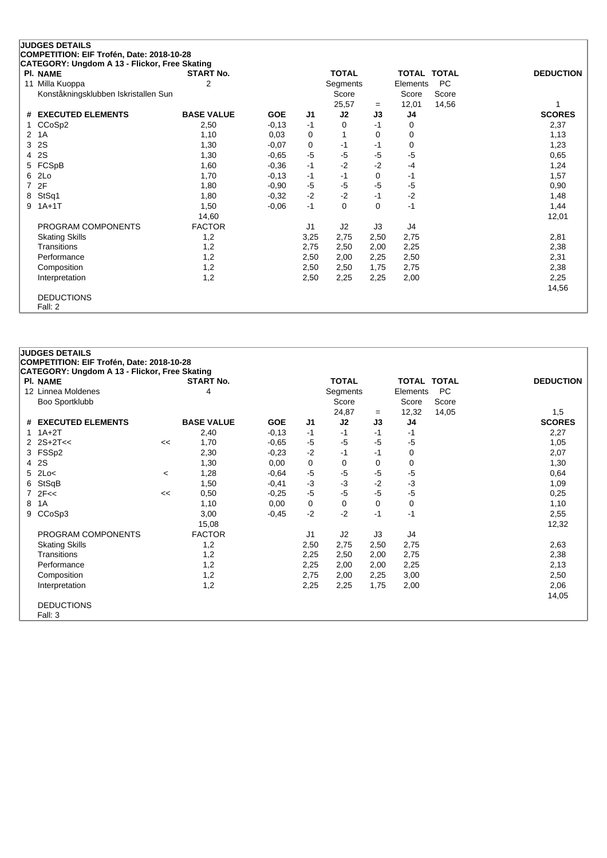|    | <b>JUDGES DETAILS</b>                         |                   |            |                |              |          |                    |           |                  |
|----|-----------------------------------------------|-------------------|------------|----------------|--------------|----------|--------------------|-----------|------------------|
|    | COMPETITION: EIF Trofén, Date: 2018-10-28     |                   |            |                |              |          |                    |           |                  |
|    | CATEGORY: Ungdom A 13 - Flickor, Free Skating |                   |            |                |              |          |                    |           |                  |
|    | <b>PI. NAME</b>                               | <b>START No.</b>  |            |                | <b>TOTAL</b> |          | <b>TOTAL TOTAL</b> |           | <b>DEDUCTION</b> |
| 11 | Milla Kuoppa                                  | 2                 |            |                | Segments     |          | Elements           | <b>PC</b> |                  |
|    | Konståkningsklubben Iskristallen Sun          |                   |            |                | Score        |          | Score              | Score     |                  |
|    |                                               |                   |            |                | 25,57        | $=$      | 12,01              | 14,56     |                  |
| #  | <b>EXECUTED ELEMENTS</b>                      | <b>BASE VALUE</b> | <b>GOE</b> | J <sub>1</sub> | J2           | J3       | J4                 |           | <b>SCORES</b>    |
|    | CCoSp2                                        | 2,50              | $-0,13$    | $-1$           | 0            | $-1$     | 0                  |           | 2,37             |
| 2  | 1A                                            | 1,10              | 0,03       | 0              |              | 0        | 0                  |           | 1,13             |
| 3  | 2S                                            | 1,30              | $-0,07$    | 0              | $-1$         | -1       | 0                  |           | 1,23             |
| 4  | 2S                                            | 1,30              | $-0,65$    | $-5$           | $-5$         | $-5$     | $-5$               |           | 0,65             |
| 5  | FCSpB                                         | 1,60              | $-0,36$    | $-1$           | $-2$         | $-2$     | $-4$               |           | 1,24             |
| 6  | 2Lo                                           | 1,70              | $-0,13$    | $-1$           | $-1$         | 0        | -1                 |           | 1,57             |
| 7  | 2F                                            | 1,80              | $-0,90$    | $-5$           | $-5$         | -5       | $-5$               |           | 0,90             |
| 8  | StSq1                                         | 1,80              | $-0,32$    | $-2$           | $-2$         | $-1$     | $-2$               |           | 1,48             |
| 9  | $1A+1T$                                       | 1,50              | $-0,06$    | $-1$           | $\Omega$     | $\Omega$ | $-1$               |           | 1,44             |
|    |                                               | 14,60             |            |                |              |          |                    |           | 12,01            |
|    | PROGRAM COMPONENTS                            | <b>FACTOR</b>     |            | J1             | J2           | J3       | J4                 |           |                  |
|    | <b>Skating Skills</b>                         | 1,2               |            | 3,25           | 2,75         | 2,50     | 2,75               |           | 2,81             |
|    | Transitions                                   | 1,2               |            | 2,75           | 2,50         | 2,00     | 2,25               |           | 2,38             |
|    | Performance                                   | 1,2               |            | 2,50           | 2,00         | 2,25     | 2,50               |           | 2,31             |
|    | Composition                                   | 1,2               |            | 2,50           | 2,50         | 1,75     | 2,75               |           | 2,38             |
|    | Interpretation                                | 1,2               |            | 2,50           | 2,25         | 2,25     | 2,00               |           | 2,25             |
|    |                                               |                   |            |                |              |          |                    |           | 14,56            |
|    | <b>DEDUCTIONS</b>                             |                   |            |                |              |          |                    |           |                  |
|    | Fall: 2                                       |                   |            |                |              |          |                    |           |                  |

|    | <b>JUDGES DETAILS</b>                         |         |                   |            |                |              |      |                    |           |                  |  |  |  |
|----|-----------------------------------------------|---------|-------------------|------------|----------------|--------------|------|--------------------|-----------|------------------|--|--|--|
|    | COMPETITION: EIF Trofén, Date: 2018-10-28     |         |                   |            |                |              |      |                    |           |                  |  |  |  |
|    | CATEGORY: Ungdom A 13 - Flickor, Free Skating |         |                   |            |                |              |      |                    |           |                  |  |  |  |
|    | <b>PI. NAME</b>                               |         | <b>START No.</b>  |            |                | <b>TOTAL</b> |      | <b>TOTAL TOTAL</b> |           | <b>DEDUCTION</b> |  |  |  |
|    | 12 Linnea Moldenes                            |         | 4                 |            |                | Segments     |      | Elements           | <b>PC</b> |                  |  |  |  |
|    | Boo Sportklubb                                |         |                   |            |                | Score        |      | Score              | Score     |                  |  |  |  |
|    |                                               |         |                   |            |                | 24,87        | $=$  | 12,32              | 14,05     | 1,5              |  |  |  |
| #  | <b>EXECUTED ELEMENTS</b>                      |         | <b>BASE VALUE</b> | <b>GOE</b> | J <sub>1</sub> | J2           | J3   | J4                 |           | <b>SCORES</b>    |  |  |  |
| 1. | $1A+2T$                                       |         | 2,40              | $-0,13$    | -1             | $-1$         | -1   | $-1$               |           | 2,27             |  |  |  |
|    | $2$ $2S+2T<<$                                 | <<      | 1,70              | $-0.65$    | $-5$           | $-5$         | -5   | $-5$               |           | 1,05             |  |  |  |
| 3  | FSSp2                                         |         | 2,30              | $-0,23$    | $-2$           | -1           | -1   | 0                  |           | 2,07             |  |  |  |
| 4  | 2S                                            |         | 1,30              | 0,00       | 0              | 0            | 0    | 0                  |           | 1,30             |  |  |  |
| 5  | 2Lo<                                          | $\,<\,$ | 1,28              | $-0,64$    | $-5$           | $-5$         | -5   | -5                 |           | 0,64             |  |  |  |
| 6  | StSqB                                         |         | 1,50              | $-0,41$    | $-3$           | $-3$         | $-2$ | $-3$               |           | 1,09             |  |  |  |
|    | $7$ $2F <$                                    | <<      | 0,50              | $-0.25$    | $-5$           | $-5$         | $-5$ | $-5$               |           | 0,25             |  |  |  |
| 8  | 1A                                            |         | 1,10              | 0,00       | 0              | 0            | 0    | 0                  |           | 1,10             |  |  |  |
| 9  | CCoSp3                                        |         | 3,00              | $-0,45$    | $-2$           | $-2$         | $-1$ | $-1$               |           | 2,55             |  |  |  |
|    |                                               |         | 15,08             |            |                |              |      |                    |           | 12,32            |  |  |  |
|    | PROGRAM COMPONENTS                            |         | <b>FACTOR</b>     |            | J <sub>1</sub> | J2           | J3   | J4                 |           |                  |  |  |  |
|    | <b>Skating Skills</b>                         |         | 1,2               |            | 2,50           | 2,75         | 2,50 | 2,75               |           | 2,63             |  |  |  |
|    | Transitions                                   |         | 1,2               |            | 2,25           | 2,50         | 2,00 | 2,75               |           | 2,38             |  |  |  |
|    | Performance                                   |         | 1,2               |            | 2,25           | 2,00         | 2,00 | 2,25               |           | 2,13             |  |  |  |
|    | Composition                                   |         | 1,2               |            | 2,75           | 2,00         | 2,25 | 3,00               |           | 2,50             |  |  |  |
|    | Interpretation                                |         | 1,2               |            | 2,25           | 2,25         | 1,75 | 2,00               |           | 2,06             |  |  |  |
|    |                                               |         |                   |            |                |              |      |                    |           | 14,05            |  |  |  |
|    | <b>DEDUCTIONS</b>                             |         |                   |            |                |              |      |                    |           |                  |  |  |  |
|    | Fall: 3                                       |         |                   |            |                |              |      |                    |           |                  |  |  |  |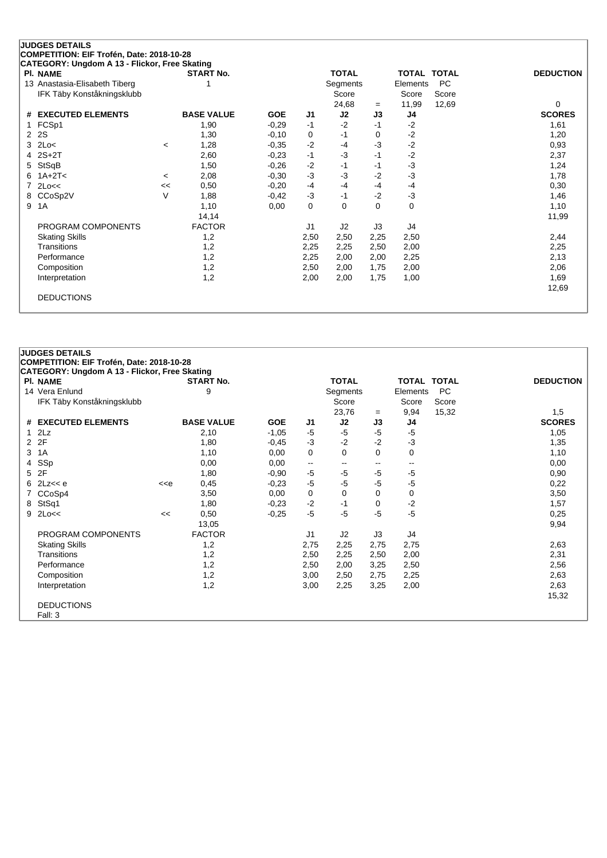|    | CATEGORY: Ungdom A 13 - Flickor, Free Skating |         |                   |            |                |              |          |          |              |                  |
|----|-----------------------------------------------|---------|-------------------|------------|----------------|--------------|----------|----------|--------------|------------------|
|    | <b>PI. NAME</b>                               |         | <b>START No.</b>  |            |                | <b>TOTAL</b> |          | TOTAL    | <b>TOTAL</b> | <b>DEDUCTION</b> |
|    | 13 Anastasia-Elisabeth Tiberg                 |         |                   |            |                | Segments     |          | Elements | <b>PC</b>    |                  |
|    | IFK Täby Konståkningsklubb                    |         |                   |            |                | Score        |          | Score    | Score        |                  |
|    |                                               |         |                   |            |                | 24,68        | $=$      | 11,99    | 12,69        | $\Omega$         |
|    | # EXECUTED ELEMENTS                           |         | <b>BASE VALUE</b> | <b>GOE</b> | J1             | J2           | J3       | J4       |              | <b>SCORES</b>    |
|    | 1 FCSp1                                       |         | 1,90              | $-0.29$    | $-1$           | $-2$         | $-1$     | $-2$     |              | 1,61             |
|    | 2 2S                                          |         | 1,30              | $-0,10$    | 0              | -1           | 0        | $-2$     |              | 1,20             |
|    | $3$ 2Lo<                                      | $\,<\,$ | 1,28              | $-0,35$    | $-2$           | $-4$         | -3       | $-2$     |              | 0,93             |
|    | $4$ 2S+2T                                     |         | 2,60              | $-0,23$    | $-1$           | $-3$         | -1       | $-2$     |              | 2,37             |
| 5. | StSqB                                         |         | 1,50              | $-0,26$    | $-2$           | -1           | -1       | $-3$     |              | 1,24             |
| 6  | 1A+2T<                                        | $\,<\,$ | 2,08              | $-0,30$    | $-3$           | $-3$         | $-2$     | $-3$     |              | 1,78             |
| 7  | 2Lo<<                                         | <<      | 0,50              | $-0,20$    | $-4$           | -4           | -4       | $-4$     |              | 0,30             |
| 8  | CCoSp2V                                       | $\vee$  | 1,88              | $-0,42$    | $-3$           | -1           | $-2$     | $-3$     |              | 1,46             |
| 9  | 1A                                            |         | 1,10              | 0,00       | 0              | $\Omega$     | $\Omega$ | 0        |              | 1,10             |
|    |                                               |         | 14,14             |            |                |              |          |          |              | 11,99            |
|    | PROGRAM COMPONENTS                            |         | <b>FACTOR</b>     |            | J <sub>1</sub> | J2           | J3       | J4       |              |                  |
|    | <b>Skating Skills</b>                         |         | 1,2               |            | 2,50           | 2,50         | 2,25     | 2,50     |              | 2,44             |
|    | Transitions                                   |         | 1,2               |            | 2,25           | 2,25         | 2,50     | 2,00     |              | 2,25             |
|    | Performance                                   |         | 1,2               |            | 2,25           | 2,00         | 2,00     | 2,25     |              | 2,13             |
|    | Composition                                   |         | 1,2               |            | 2,50           | 2,00         | 1,75     | 2,00     |              | 2,06             |
|    | Interpretation                                |         | 1,2               |            | 2,00           | 2,00         | 1,75     | 1,00     |              | 1,69             |
|    |                                               |         |                   |            |                |              |          |          |              | 12,69            |
|    | <b>DEDUCTIONS</b>                             |         |                   |            |                |              |          |          |              |                  |
|    |                                               |         |                   |            |                |              |          |          |              |                  |

|   | <b>JUDGES DETAILS</b>                         |                                                                                                                                                                                 |                   |            |                          |                          |          |                    |       |                  |
|---|-----------------------------------------------|---------------------------------------------------------------------------------------------------------------------------------------------------------------------------------|-------------------|------------|--------------------------|--------------------------|----------|--------------------|-------|------------------|
|   | COMPETITION: EIF Trofén, Date: 2018-10-28     |                                                                                                                                                                                 |                   |            |                          |                          |          |                    |       |                  |
|   | CATEGORY: Ungdom A 13 - Flickor, Free Skating |                                                                                                                                                                                 |                   |            |                          |                          |          |                    |       |                  |
|   | <b>PI. NAME</b>                               |                                                                                                                                                                                 | <b>START No.</b>  |            |                          | <b>TOTAL</b>             |          | <b>TOTAL TOTAL</b> |       | <b>DEDUCTION</b> |
|   | 14 Vera Enlund                                |                                                                                                                                                                                 | 9                 |            |                          | Segments                 |          | Elements           | PC    |                  |
|   | IFK Täby Konståkningsklubb                    |                                                                                                                                                                                 |                   |            |                          | Score                    |          | Score              | Score |                  |
|   |                                               |                                                                                                                                                                                 |                   |            |                          | 23,76                    | $=$      | 9,94               | 15,32 | 1,5              |
|   | # EXECUTED ELEMENTS                           |                                                                                                                                                                                 | <b>BASE VALUE</b> | <b>GOE</b> | J1                       | J2                       | J3       | J4                 |       | <b>SCORES</b>    |
|   | $1$ $2Lz$                                     |                                                                                                                                                                                 | 2,10              | $-1,05$    | $-5$                     | $-5$                     | $-5$     | $-5$               |       | 1,05             |
|   | 2 2F                                          |                                                                                                                                                                                 | 1,80              | $-0,45$    | $-3$                     | $-2$                     | $-2$     | $-3$               |       | 1,35             |
| 3 | 1A                                            |                                                                                                                                                                                 | 1,10              | 0,00       | 0                        | $\mathbf 0$              | $\Omega$ | 0                  |       | 1,10             |
|   | 4 SSp                                         |                                                                                                                                                                                 | 0,00              | 0,00       | $\overline{\phantom{a}}$ | $\overline{\phantom{m}}$ | --       | --                 |       | 0,00             |
|   | 5 2F                                          |                                                                                                                                                                                 | 1,80              | $-0,90$    | $-5$                     | -5                       | $-5$     | $-5$               |       | 0,90             |
|   | $6$ 2Lz<< $e$                                 | < <e< td=""><td>0,45</td><td><math>-0,23</math></td><td><math>-5</math></td><td><math>-5</math></td><td><math>-5</math></td><td><math>-5</math></td><td></td><td>0,22</td></e<> | 0,45              | $-0,23$    | $-5$                     | $-5$                     | $-5$     | $-5$               |       | 0,22             |
|   | 7 CCoSp4                                      |                                                                                                                                                                                 | 3,50              | 0,00       | 0                        | 0                        | 0        | 0                  |       | 3,50             |
|   | 8 StSq1                                       |                                                                                                                                                                                 | 1,80              | $-0,23$    | $-2$                     | $-1$                     | 0        | $-2$               |       | 1,57             |
|   | $9$ 2Lo<<                                     | <<                                                                                                                                                                              | 0,50              | $-0,25$    | $-5$                     | $-5$                     | $-5$     | $-5$               |       | 0,25             |
|   |                                               |                                                                                                                                                                                 | 13,05             |            |                          |                          |          |                    |       | 9,94             |
|   | PROGRAM COMPONENTS                            |                                                                                                                                                                                 | <b>FACTOR</b>     |            | J <sub>1</sub>           | J2                       | J3       | J4                 |       |                  |
|   | <b>Skating Skills</b>                         |                                                                                                                                                                                 | 1,2               |            | 2,75                     | 2,25                     | 2,75     | 2,75               |       | 2,63             |
|   | Transitions                                   |                                                                                                                                                                                 | 1,2               |            | 2,50                     | 2,25                     | 2,50     | 2,00               |       | 2,31             |
|   | Performance                                   |                                                                                                                                                                                 | 1,2               |            | 2,50                     | 2,00                     | 3,25     | 2,50               |       | 2,56             |
|   | Composition                                   |                                                                                                                                                                                 | 1,2               |            | 3,00                     | 2,50                     | 2,75     | 2,25               |       | 2,63             |
|   | Interpretation                                |                                                                                                                                                                                 | 1,2               |            | 3,00                     | 2,25                     | 3,25     | 2,00               |       | 2,63             |
|   |                                               |                                                                                                                                                                                 |                   |            |                          |                          |          |                    |       | 15,32            |
|   | <b>DEDUCTIONS</b>                             |                                                                                                                                                                                 |                   |            |                          |                          |          |                    |       |                  |
|   | Fall: 3                                       |                                                                                                                                                                                 |                   |            |                          |                          |          |                    |       |                  |